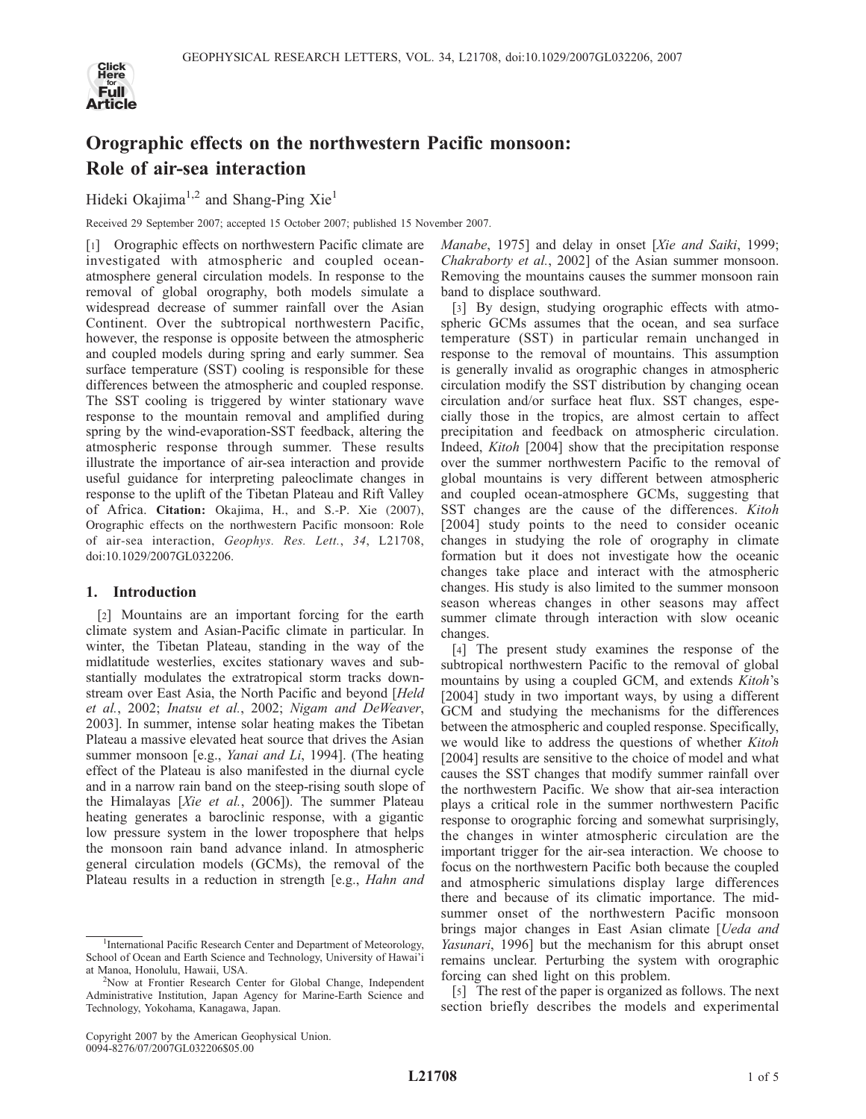

# Orographic effects on the northwestern Pacific monsoon: Role of air-sea interaction

Hideki Okajima<sup>1,2</sup> and Shang-Ping Xie<sup>1</sup>

Received 29 September 2007; accepted 15 October 2007; published 15 November 2007.

[1] Orographic effects on northwestern Pacific climate are investigated with atmospheric and coupled oceanatmosphere general circulation models. In response to the removal of global orography, both models simulate a widespread decrease of summer rainfall over the Asian Continent. Over the subtropical northwestern Pacific, however, the response is opposite between the atmospheric and coupled models during spring and early summer. Sea surface temperature (SST) cooling is responsible for these differences between the atmospheric and coupled response. The SST cooling is triggered by winter stationary wave response to the mountain removal and amplified during spring by the wind-evaporation-SST feedback, altering the atmospheric response through summer. These results illustrate the importance of air-sea interaction and provide useful guidance for interpreting paleoclimate changes in response to the uplift of the Tibetan Plateau and Rift Valley of Africa. Citation: Okajima, H., and S.-P. Xie (2007), Orographic effects on the northwestern Pacific monsoon: Role of air-sea interaction, Geophys. Res. Lett., 34, L21708, doi:10.1029/2007GL032206.

## 1. Introduction

[2] Mountains are an important forcing for the earth climate system and Asian-Pacific climate in particular. In winter, the Tibetan Plateau, standing in the way of the midlatitude westerlies, excites stationary waves and substantially modulates the extratropical storm tracks downstream over East Asia, the North Pacific and beyond [Held et al., 2002; Inatsu et al., 2002; Nigam and DeWeaver, 2003]. In summer, intense solar heating makes the Tibetan Plateau a massive elevated heat source that drives the Asian summer monsoon [e.g., *Yanai and Li*, 1994]. (The heating effect of the Plateau is also manifested in the diurnal cycle and in a narrow rain band on the steep-rising south slope of the Himalayas [Xie et al., 2006]). The summer Plateau heating generates a baroclinic response, with a gigantic low pressure system in the lower troposphere that helps the monsoon rain band advance inland. In atmospheric general circulation models (GCMs), the removal of the Plateau results in a reduction in strength [e.g., *Hahn and* 

Manabe, 1975] and delay in onset [Xie and Saiki, 1999; Chakraborty et al., 2002] of the Asian summer monsoon. Removing the mountains causes the summer monsoon rain band to displace southward.

[3] By design, studying orographic effects with atmospheric GCMs assumes that the ocean, and sea surface temperature (SST) in particular remain unchanged in response to the removal of mountains. This assumption is generally invalid as orographic changes in atmospheric circulation modify the SST distribution by changing ocean circulation and/or surface heat flux. SST changes, especially those in the tropics, are almost certain to affect precipitation and feedback on atmospheric circulation. Indeed, Kitoh [2004] show that the precipitation response over the summer northwestern Pacific to the removal of global mountains is very different between atmospheric and coupled ocean-atmosphere GCMs, suggesting that SST changes are the cause of the differences. Kitoh [2004] study points to the need to consider oceanic changes in studying the role of orography in climate formation but it does not investigate how the oceanic changes take place and interact with the atmospheric changes. His study is also limited to the summer monsoon season whereas changes in other seasons may affect summer climate through interaction with slow oceanic changes.

[4] The present study examines the response of the subtropical northwestern Pacific to the removal of global mountains by using a coupled GCM, and extends Kitoh's [2004] study in two important ways, by using a different GCM and studying the mechanisms for the differences between the atmospheric and coupled response. Specifically, we would like to address the questions of whether Kitoh [2004] results are sensitive to the choice of model and what causes the SST changes that modify summer rainfall over the northwestern Pacific. We show that air-sea interaction plays a critical role in the summer northwestern Pacific response to orographic forcing and somewhat surprisingly, the changes in winter atmospheric circulation are the important trigger for the air-sea interaction. We choose to focus on the northwestern Pacific both because the coupled and atmospheric simulations display large differences there and because of its climatic importance. The midsummer onset of the northwestern Pacific monsoon brings major changes in East Asian climate [*Ueda and* Yasunari, 1996] but the mechanism for this abrupt onset remains unclear. Perturbing the system with orographic forcing can shed light on this problem.

[5] The rest of the paper is organized as follows. The next section briefly describes the models and experimental

<sup>&</sup>lt;sup>1</sup>International Pacific Research Center and Department of Meteorology, School of Ocean and Earth Science and Technology, University of Hawai'i at Manoa, Honolulu, Hawaii, USA. <sup>2</sup>

<sup>&</sup>lt;sup>2</sup>Now at Frontier Research Center for Global Change, Independent Administrative Institution, Japan Agency for Marine-Earth Science and Technology, Yokohama, Kanagawa, Japan.

Copyright 2007 by the American Geophysical Union. 0094-8276/07/2007GL032206\$05.00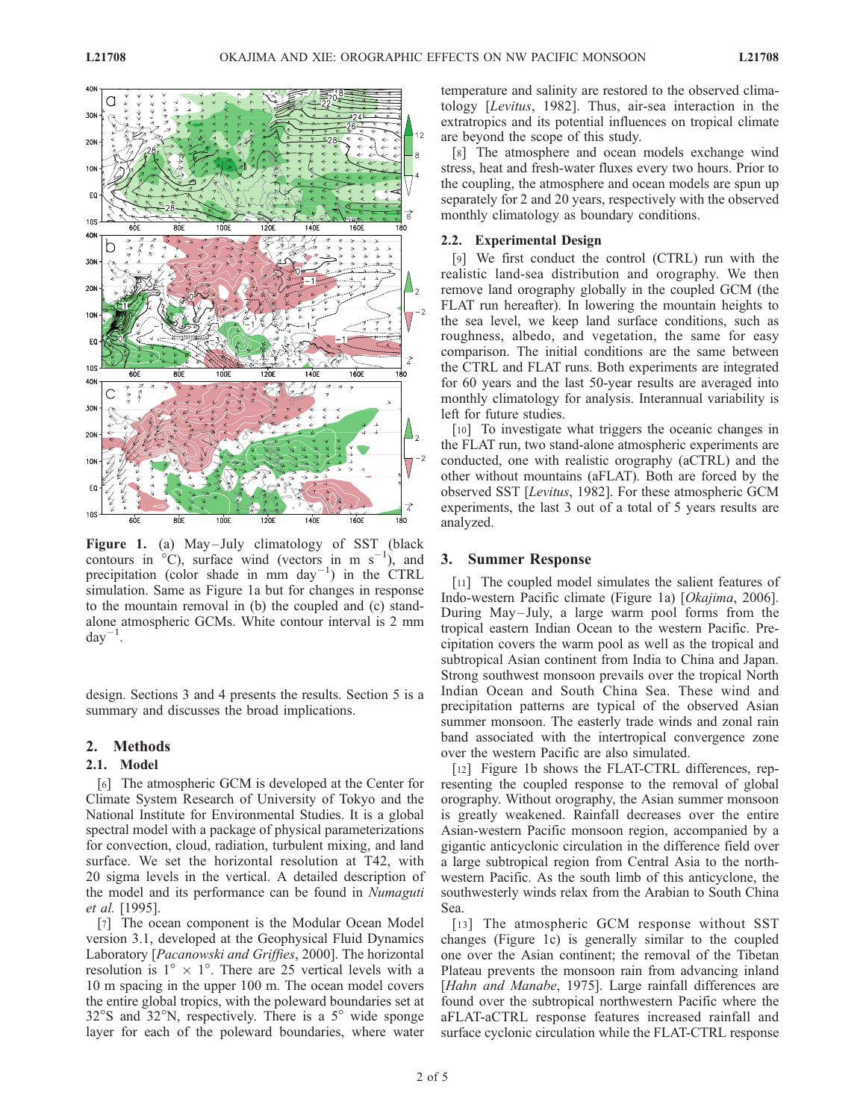

Figure 1. (a) May-July climatology of SST (black contours in  $\degree$ C), surface wind (vectors in m s<sup>-1</sup>), and precipitation (color shade in mm day<sup>-1</sup>) in the CTRL simulation. Same as Figure 1a but for changes in response to the mountain removal in (b) the coupled and (c) standalone atmospheric GCMs. White contour interval is 2 mm  $day^{-1}$ .

design. Sections 3 and 4 presents the results. Section 5 is a summary and discusses the broad implications.

## 2. Methods

#### 2.1. Model

[6] The atmospheric GCM is developed at the Center for Climate System Research of University of Tokyo and the National Institute for Environmental Studies. It is a global spectral model with a package of physical parameterizations for convection, cloud, radiation, turbulent mixing, and land surface. We set the horizontal resolution at T42, with 20 sigma levels in the vertical. A detailed description of the model and its performance can be found in Numaguti et al. [1995].

[7] The ocean component is the Modular Ocean Model version 3.1, developed at the Geophysical Fluid Dynamics Laboratory [Pacanowski and Griffies, 2000]. The horizontal resolution is  $1^{\circ} \times 1^{\circ}$ . There are 25 vertical levels with a 10 m spacing in the upper 100 m. The ocean model covers the entire global tropics, with the poleward boundaries set at  $32^{\circ}$ S and  $32^{\circ}$ N, respectively. There is a  $5^{\circ}$  wide sponge layer for each of the poleward boundaries, where water temperature and salinity are restored to the observed climatology [Levitus, 1982]. Thus, air-sea interaction in the extratropics and its potential influences on tropical climate are beyond the scope of this study.

[8] The atmosphere and ocean models exchange wind stress, heat and fresh-water fluxes every two hours. Prior to the coupling, the atmosphere and ocean models are spun up separately for 2 and 20 years, respectively with the observed monthly climatology as boundary conditions.

#### 2.2. Experimental Design

[9] We first conduct the control (CTRL) run with the realistic land-sea distribution and orography. We then remove land orography globally in the coupled GCM (the FLAT run hereafter). In lowering the mountain heights to the sea level, we keep land surface conditions, such as roughness, albedo, and vegetation, the same for easy comparison. The initial conditions are the same between the CTRL and FLAT runs. Both experiments are integrated for 60 years and the last 50-year results are averaged into monthly climatology for analysis. Interannual variability is left for future studies.

[10] To investigate what triggers the oceanic changes in the FLAT run, two stand-alone atmospheric experiments are conducted, one with realistic orography (aCTRL) and the other without mountains (aFLAT). Both are forced by the observed SST [Levitus, 1982]. For these atmospheric GCM experiments, the last 3 out of a total of 5 years results are analyzed.

### 3. Summer Response

[11] The coupled model simulates the salient features of Indo-western Pacific climate (Figure 1a) [Okajima, 2006]. During May-July, a large warm pool forms from the tropical eastern Indian Ocean to the western Pacific. Precipitation covers the warm pool as well as the tropical and subtropical Asian continent from India to China and Japan. Strong southwest monsoon prevails over the tropical North Indian Ocean and South China Sea. These wind and precipitation patterns are typical of the observed Asian summer monsoon. The easterly trade winds and zonal rain band associated with the intertropical convergence zone over the western Pacific are also simulated.

[12] Figure 1b shows the FLAT-CTRL differences, representing the coupled response to the removal of global orography. Without orography, the Asian summer monsoon is greatly weakened. Rainfall decreases over the entire Asian-western Pacific monsoon region, accompanied by a gigantic anticyclonic circulation in the difference field over a large subtropical region from Central Asia to the northwestern Pacific. As the south limb of this anticyclone, the southwesterly winds relax from the Arabian to South China Sea.

[13] The atmospheric GCM response without SST changes (Figure 1c) is generally similar to the coupled one over the Asian continent; the removal of the Tibetan Plateau prevents the monsoon rain from advancing inland [Hahn and Manabe, 1975]. Large rainfall differences are found over the subtropical northwestern Pacific where the aFLAT-aCTRL response features increased rainfall and surface cyclonic circulation while the FLAT-CTRL response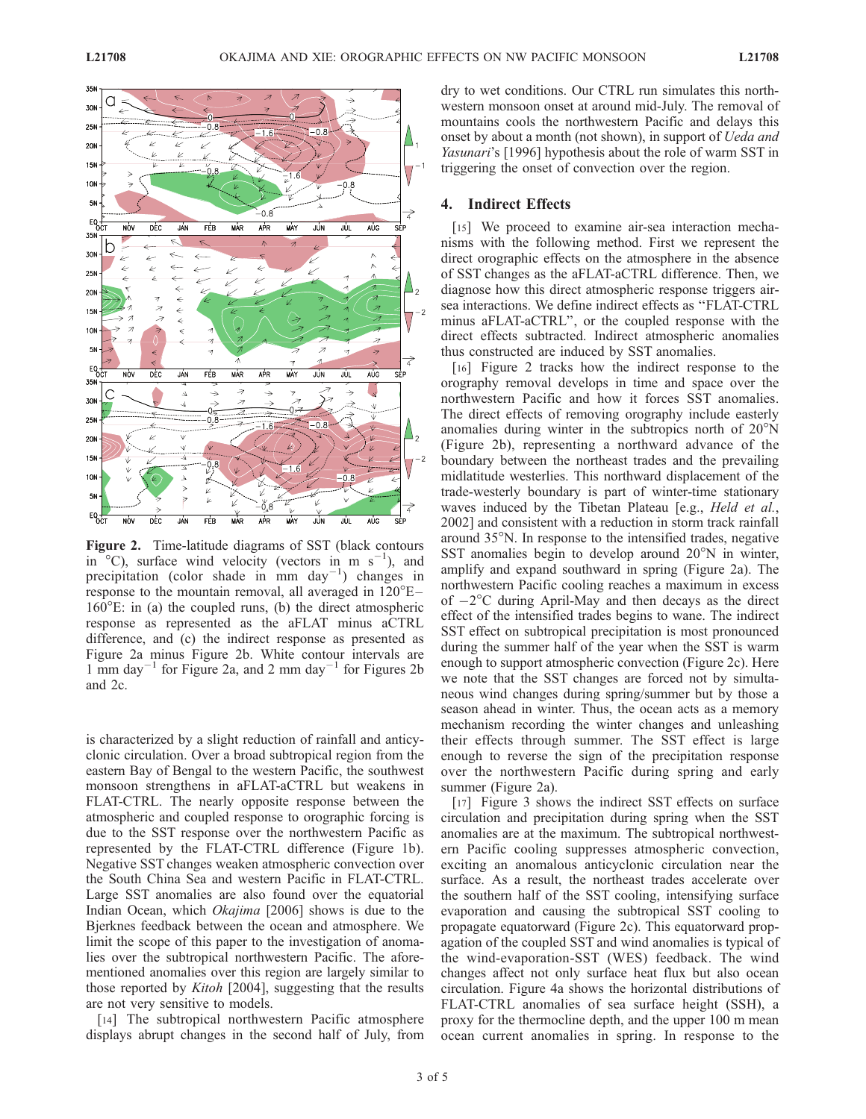

Figure 2. Time-latitude diagrams of SST (black contours in  $\degree$ C), surface wind velocity (vectors in m s<sup>-1</sup>), and precipitation (color shade in mm day<sup>-1</sup>) changes in response to the mountain removal, all averaged in  $120^{\circ}E 160^{\circ}$ E: in (a) the coupled runs, (b) the direct atmospheric response as represented as the aFLAT minus aCTRL difference, and (c) the indirect response as presented as Figure 2a minus Figure 2b. White contour intervals are 1 mm day<sup>-1</sup> for Figure 2a, and 2 mm day<sup>-1</sup> for Figures 2b and 2c.

is characterized by a slight reduction of rainfall and anticyclonic circulation. Over a broad subtropical region from the eastern Bay of Bengal to the western Pacific, the southwest monsoon strengthens in aFLAT-aCTRL but weakens in FLAT-CTRL. The nearly opposite response between the atmospheric and coupled response to orographic forcing is due to the SST response over the northwestern Pacific as represented by the FLAT-CTRL difference (Figure 1b). Negative SST changes weaken atmospheric convection over the South China Sea and western Pacific in FLAT-CTRL. Large SST anomalies are also found over the equatorial Indian Ocean, which Okajima [2006] shows is due to the Bjerknes feedback between the ocean and atmosphere. We limit the scope of this paper to the investigation of anomalies over the subtropical northwestern Pacific. The aforementioned anomalies over this region are largely similar to those reported by Kitoh [2004], suggesting that the results are not very sensitive to models.

[14] The subtropical northwestern Pacific atmosphere displays abrupt changes in the second half of July, from

dry to wet conditions. Our CTRL run simulates this northwestern monsoon onset at around mid-July. The removal of mountains cools the northwestern Pacific and delays this onset by about a month (not shown), in support of *Ueda and* Yasunari's [1996] hypothesis about the role of warm SST in triggering the onset of convection over the region.

#### 4. Indirect Effects

[15] We proceed to examine air-sea interaction mechanisms with the following method. First we represent the direct orographic effects on the atmosphere in the absence of SST changes as the aFLAT-aCTRL difference. Then, we diagnose how this direct atmospheric response triggers airsea interactions. We define indirect effects as ''FLAT-CTRL minus aFLAT-aCTRL'', or the coupled response with the direct effects subtracted. Indirect atmospheric anomalies thus constructed are induced by SST anomalies.

[16] Figure 2 tracks how the indirect response to the orography removal develops in time and space over the northwestern Pacific and how it forces SST anomalies. The direct effects of removing orography include easterly anomalies during winter in the subtropics north of  $20^{\circ}$ N (Figure 2b), representing a northward advance of the boundary between the northeast trades and the prevailing midlatitude westerlies. This northward displacement of the trade-westerly boundary is part of winter-time stationary waves induced by the Tibetan Plateau [e.g., *Held et al.*, 2002] and consistent with a reduction in storm track rainfall around  $35^{\circ}$ N. In response to the intensified trades, negative SST anomalies begin to develop around  $20^{\circ}$ N in winter, amplify and expand southward in spring (Figure 2a). The northwestern Pacific cooling reaches a maximum in excess of  $-2$ <sup>o</sup>C during April-May and then decays as the direct effect of the intensified trades begins to wane. The indirect SST effect on subtropical precipitation is most pronounced during the summer half of the year when the SST is warm enough to support atmospheric convection (Figure 2c). Here we note that the SST changes are forced not by simultaneous wind changes during spring/summer but by those a season ahead in winter. Thus, the ocean acts as a memory mechanism recording the winter changes and unleashing their effects through summer. The SST effect is large enough to reverse the sign of the precipitation response over the northwestern Pacific during spring and early summer (Figure 2a).

[17] Figure 3 shows the indirect SST effects on surface circulation and precipitation during spring when the SST anomalies are at the maximum. The subtropical northwestern Pacific cooling suppresses atmospheric convection, exciting an anomalous anticyclonic circulation near the surface. As a result, the northeast trades accelerate over the southern half of the SST cooling, intensifying surface evaporation and causing the subtropical SST cooling to propagate equatorward (Figure 2c). This equatorward propagation of the coupled SST and wind anomalies is typical of the wind-evaporation-SST (WES) feedback. The wind changes affect not only surface heat flux but also ocean circulation. Figure 4a shows the horizontal distributions of FLAT-CTRL anomalies of sea surface height (SSH), a proxy for the thermocline depth, and the upper 100 m mean ocean current anomalies in spring. In response to the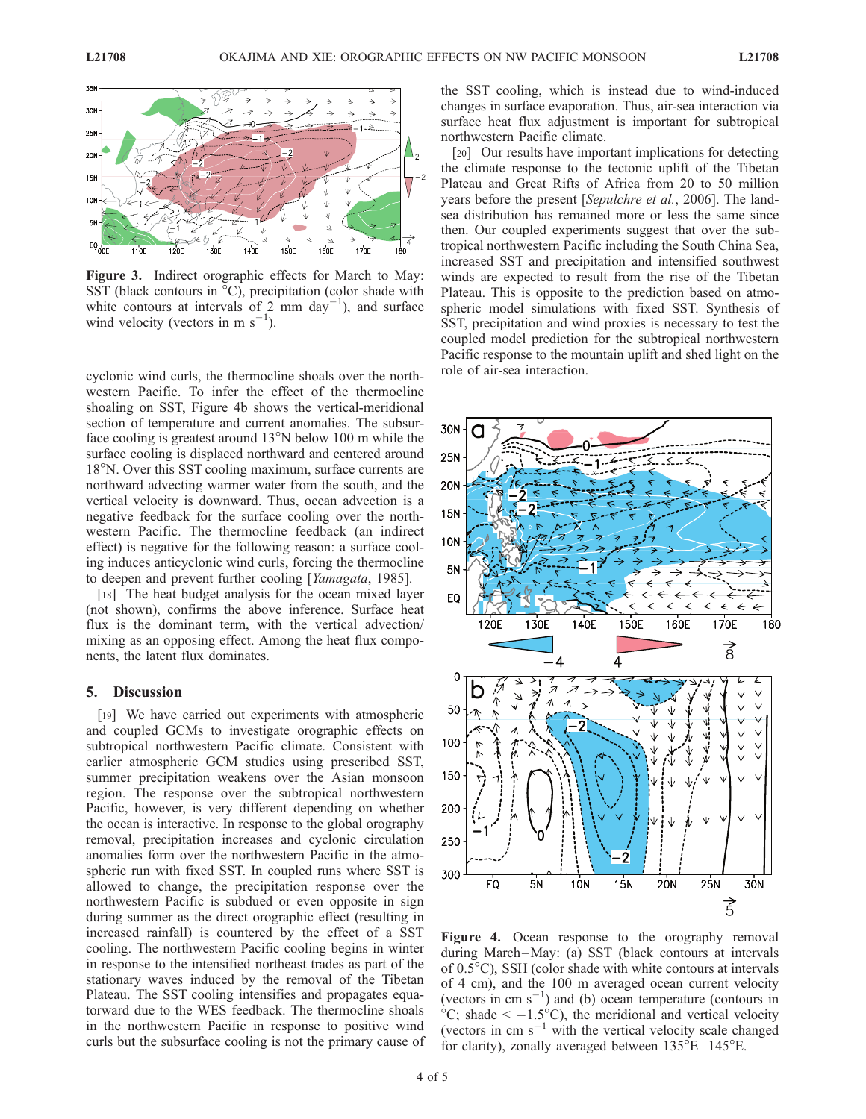

Figure 3. Indirect orographic effects for March to May: SST (black contours in  $\degree$ C), precipitation (color shade with white contours at intervals of 2 mm day<sup>-1</sup>), and surface wind velocity (vectors in m  $s^{-1}$ ).

cyclonic wind curls, the thermocline shoals over the northwestern Pacific. To infer the effect of the thermocline shoaling on SST, Figure 4b shows the vertical-meridional section of temperature and current anomalies. The subsurface cooling is greatest around  $13^{\circ}$ N below 100 m while the surface cooling is displaced northward and centered around 18<sup>o</sup>N. Over this SST cooling maximum, surface currents are northward advecting warmer water from the south, and the vertical velocity is downward. Thus, ocean advection is a negative feedback for the surface cooling over the northwestern Pacific. The thermocline feedback (an indirect effect) is negative for the following reason: a surface cooling induces anticyclonic wind curls, forcing the thermocline to deepen and prevent further cooling [Yamagata, 1985].

[18] The heat budget analysis for the ocean mixed layer (not shown), confirms the above inference. Surface heat flux is the dominant term, with the vertical advection/ mixing as an opposing effect. Among the heat flux components, the latent flux dominates.

#### 5. Discussion

[19] We have carried out experiments with atmospheric and coupled GCMs to investigate orographic effects on subtropical northwestern Pacific climate. Consistent with earlier atmospheric GCM studies using prescribed SST, summer precipitation weakens over the Asian monsoon region. The response over the subtropical northwestern Pacific, however, is very different depending on whether the ocean is interactive. In response to the global orography removal, precipitation increases and cyclonic circulation anomalies form over the northwestern Pacific in the atmospheric run with fixed SST. In coupled runs where SST is allowed to change, the precipitation response over the northwestern Pacific is subdued or even opposite in sign during summer as the direct orographic effect (resulting in increased rainfall) is countered by the effect of a SST cooling. The northwestern Pacific cooling begins in winter in response to the intensified northeast trades as part of the stationary waves induced by the removal of the Tibetan Plateau. The SST cooling intensifies and propagates equatorward due to the WES feedback. The thermocline shoals in the northwestern Pacific in response to positive wind curls but the subsurface cooling is not the primary cause of the SST cooling, which is instead due to wind-induced changes in surface evaporation. Thus, air-sea interaction via surface heat flux adjustment is important for subtropical northwestern Pacific climate.

[20] Our results have important implications for detecting the climate response to the tectonic uplift of the Tibetan Plateau and Great Rifts of Africa from 20 to 50 million years before the present [Sepulchre et al., 2006]. The landsea distribution has remained more or less the same since then. Our coupled experiments suggest that over the subtropical northwestern Pacific including the South China Sea, increased SST and precipitation and intensified southwest winds are expected to result from the rise of the Tibetan Plateau. This is opposite to the prediction based on atmospheric model simulations with fixed SST. Synthesis of SST, precipitation and wind proxies is necessary to test the coupled model prediction for the subtropical northwestern Pacific response to the mountain uplift and shed light on the role of air-sea interaction.



Figure 4. Ocean response to the orography removal during March-May: (a) SST (black contours at intervals of  $0.5^{\circ}$ C), SSH (color shade with white contours at intervals of 4 cm), and the 100 m averaged ocean current velocity (vectors in cm  $s^{-1}$ ) and (b) ocean temperature (contours in °C; shade  $\le -1.5$ °C), the meridional and vertical velocity (vectors in cm  $s^{-1}$  with the vertical velocity scale changed for clarity), zonally averaged between  $135^{\circ}E - 145^{\circ}E$ .